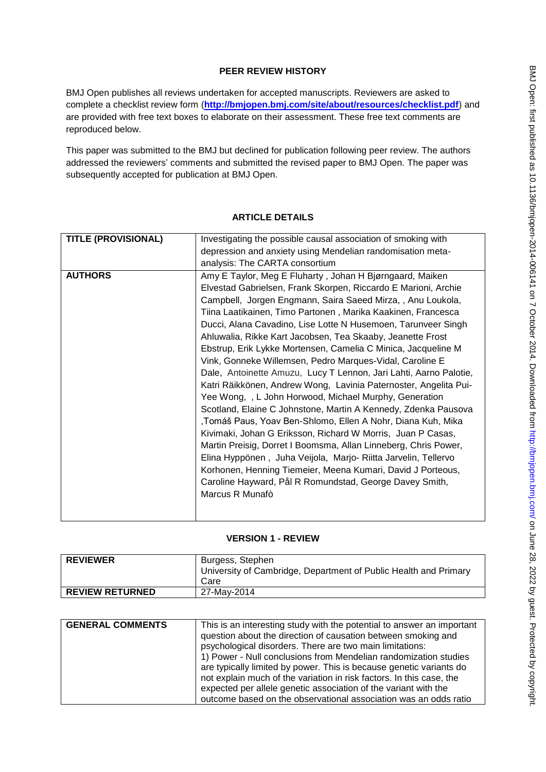## **PEER REVIEW HISTORY**

BMJ Open publishes all reviews undertaken for accepted manuscripts. Reviewers are asked to complete a checklist review form (**[http://bmjopen.bmj.com/site/about/resources/checklist.pdf\)](http://bmjopen.bmj.com/site/about/resources/checklist.pdf)** and are provided with free text boxes to elaborate on their assessment. These free text comments are reproduced below.

This paper was submitted to the BMJ but declined for publication following peer review. The authors addressed the reviewers' comments and submitted the revised paper to BMJ Open. The paper was subsequently accepted for publication at BMJ Open.

# **TITLE (PROVISIONAL)** Investigating the possible causal association of smoking with depression and anxiety using Mendelian randomisation metaanalysis: The CARTA consortium **AUTHORS** AMY E Taylor, Meg E Fluharty, Johan H Bjørngaard, Maiken Elvestad Gabrielsen, Frank Skorpen, Riccardo E Marioni, Archie Campbell, Jorgen Engmann, Saira Saeed Mirza, , Anu Loukola, Tiina Laatikainen, Timo Partonen , Marika Kaakinen, Francesca Ducci, Alana Cavadino, Lise Lotte N Husemoen, Tarunveer Singh Ahluwalia, Rikke Kart Jacobsen, Tea Skaaby, Jeanette Frost Ebstrup, Erik Lykke Mortensen, Camelia C Minica, Jacqueline M Vink, Gonneke Willemsen, Pedro Marques-Vidal, Caroline E Dale, Antoinette Amuzu, Lucy T Lennon, Jari Lahti, Aarno Palotie, Katri Räikkönen, Andrew Wong, Lavinia Paternoster, Angelita Pui-Yee Wong, , L John Horwood, Michael Murphy, Generation Scotland, Elaine C Johnstone, Martin A Kennedy, Zdenka Pausova ,Tomáš Paus, Yoav Ben-Shlomo, Ellen A Nohr, Diana Kuh, Mika Kivimaki, Johan G Eriksson, Richard W Morris, Juan P Casas, Martin Preisig, Dorret I Boomsma, Allan Linneberg, Chris Power, Elina Hyppönen , Juha Veijola, Marjo- Riitta Jarvelin, Tellervo Korhonen, Henning Tiemeier, Meena Kumari, David J Porteous, Caroline Hayward, Pål R Romundstad, George Davey Smith, Marcus R Munafò

### **ARTICLE DETAILS**

### **VERSION 1 - REVIEW**

| <b>REVIEWER</b>        | Burgess, Stephen<br>University of Cambridge, Department of Public Health and Primary<br>Care |
|------------------------|----------------------------------------------------------------------------------------------|
| <b>REVIEW RETURNED</b> | 27-Mav-2014                                                                                  |

| <b>GENERAL COMMENTS</b> | This is an interesting study with the potential to answer an important |
|-------------------------|------------------------------------------------------------------------|
|                         | question about the direction of causation between smoking and          |
|                         | psychological disorders. There are two main limitations:               |
|                         | 1) Power - Null conclusions from Mendelian randomization studies       |
|                         | are typically limited by power. This is because genetic variants do    |
|                         | not explain much of the variation in risk factors. In this case, the   |
|                         | expected per allele genetic association of the variant with the        |
|                         | outcome based on the observational association was an odds ratio       |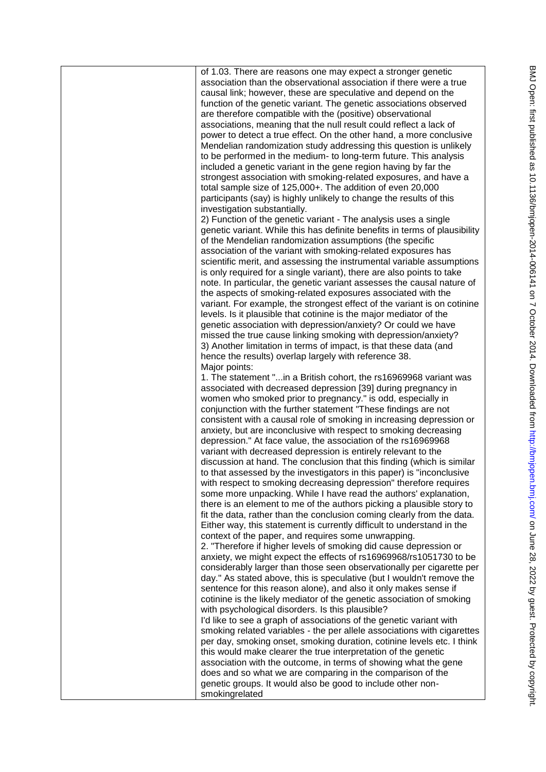| of 1.03. There are reasons one may expect a stronger genetic<br>association than the observational association if there were a true<br>causal link; however, these are speculative and depend on the<br>function of the genetic variant. The genetic associations observed<br>are therefore compatible with the (positive) observational<br>associations, meaning that the null result could reflect a lack of<br>power to detect a true effect. On the other hand, a more conclusive<br>Mendelian randomization study addressing this question is unlikely<br>to be performed in the medium- to long-term future. This analysis<br>included a genetic variant in the gene region having by far the<br>strongest association with smoking-related exposures, and have a<br>total sample size of 125,000+. The addition of even 20,000<br>participants (say) is highly unlikely to change the results of this<br>investigation substantially. |
|----------------------------------------------------------------------------------------------------------------------------------------------------------------------------------------------------------------------------------------------------------------------------------------------------------------------------------------------------------------------------------------------------------------------------------------------------------------------------------------------------------------------------------------------------------------------------------------------------------------------------------------------------------------------------------------------------------------------------------------------------------------------------------------------------------------------------------------------------------------------------------------------------------------------------------------------|
| 2) Function of the genetic variant - The analysis uses a single<br>genetic variant. While this has definite benefits in terms of plausibility<br>of the Mendelian randomization assumptions (the specific<br>association of the variant with smoking-related exposures has<br>scientific merit, and assessing the instrumental variable assumptions<br>is only required for a single variant), there are also points to take                                                                                                                                                                                                                                                                                                                                                                                                                                                                                                                 |
| note. In particular, the genetic variant assesses the causal nature of<br>the aspects of smoking-related exposures associated with the<br>variant. For example, the strongest effect of the variant is on cotinine<br>levels. Is it plausible that cotinine is the major mediator of the<br>genetic association with depression/anxiety? Or could we have<br>missed the true cause linking smoking with depression/anxiety?<br>3) Another limitation in terms of impact, is that these data (and<br>hence the results) overlap largely with reference 38.                                                                                                                                                                                                                                                                                                                                                                                    |
| Major points:<br>1. The statement "in a British cohort, the rs16969968 variant was<br>associated with decreased depression [39] during pregnancy in<br>women who smoked prior to pregnancy." is odd, especially in<br>conjunction with the further statement "These findings are not<br>consistent with a causal role of smoking in increasing depression or<br>anxiety, but are inconclusive with respect to smoking decreasing<br>depression." At face value, the association of the rs16969968<br>variant with decreased depression is entirely relevant to the<br>discussion at hand. The conclusion that this finding (which is similar<br>to that assessed by the investigators in this paper) is "inconclusive                                                                                                                                                                                                                        |
| with respect to smoking decreasing depression" therefore requires<br>some more unpacking. While I have read the authors' explanation,<br>there is an element to me of the authors picking a plausible story to<br>fit the data, rather than the conclusion coming clearly from the data.<br>Either way, this statement is currently difficult to understand in the<br>context of the paper, and requires some unwrapping.<br>2. "Therefore if higher levels of smoking did cause depression or<br>anxiety, we might expect the effects of rs16969968/rs1051730 to be<br>considerably larger than those seen observationally per cigarette per<br>day." As stated above, this is speculative (but I wouldn't remove the                                                                                                                                                                                                                       |
| sentence for this reason alone), and also it only makes sense if<br>cotinine is the likely mediator of the genetic association of smoking<br>with psychological disorders. Is this plausible?<br>I'd like to see a graph of associations of the genetic variant with<br>smoking related variables - the per allele associations with cigarettes<br>per day, smoking onset, smoking duration, cotinine levels etc. I think<br>this would make clearer the true interpretation of the genetic<br>association with the outcome, in terms of showing what the gene<br>does and so what we are comparing in the comparison of the<br>genetic groups. It would also be good to include other non-<br>smokingrelated                                                                                                                                                                                                                                |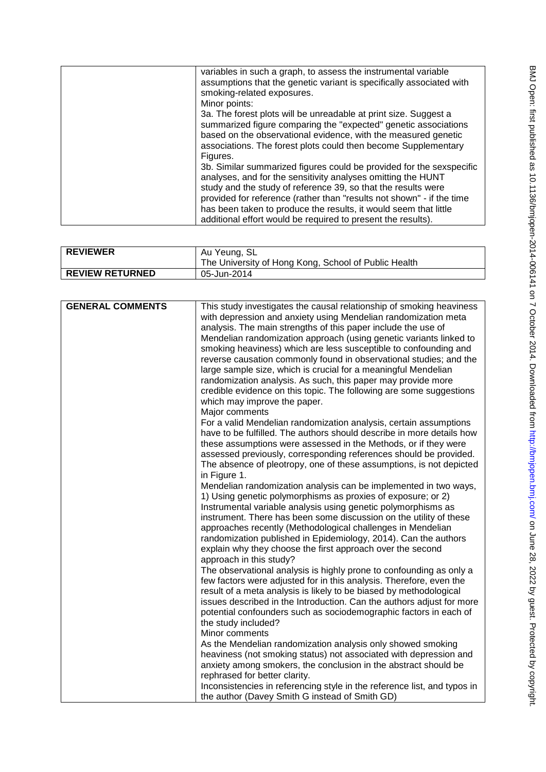| variables in such a graph, to assess the instrumental variable<br>assumptions that the genetic variant is specifically associated with<br>smoking-related exposures.<br>Minor points:                                                                                                                                                                                                                              |
|--------------------------------------------------------------------------------------------------------------------------------------------------------------------------------------------------------------------------------------------------------------------------------------------------------------------------------------------------------------------------------------------------------------------|
| 3a. The forest plots will be unreadable at print size. Suggest a<br>summarized figure comparing the "expected" genetic associations<br>based on the observational evidence, with the measured genetic<br>associations. The forest plots could then become Supplementary<br>Figures.                                                                                                                                |
| 3b. Similar summarized figures could be provided for the sexspecific<br>analyses, and for the sensitivity analyses omitting the HUNT<br>study and the study of reference 39, so that the results were<br>provided for reference (rather than "results not shown" - if the time<br>has been taken to produce the results, it would seem that little<br>additional effort would be required to present the results). |

| <b>GENERAL COMMENTS</b> | This study investigates the causal relationship of smoking heaviness     |
|-------------------------|--------------------------------------------------------------------------|
|                         | with depression and anxiety using Mendelian randomization meta           |
|                         | analysis. The main strengths of this paper include the use of            |
|                         | Mendelian randomization approach (using genetic variants linked to       |
|                         | smoking heaviness) which are less susceptible to confounding and         |
|                         | reverse causation commonly found in observational studies; and the       |
|                         | large sample size, which is crucial for a meaningful Mendelian           |
|                         | randomization analysis. As such, this paper may provide more             |
|                         | credible evidence on this topic. The following are some suggestions      |
|                         | which may improve the paper.                                             |
|                         | Major comments                                                           |
|                         | For a valid Mendelian randomization analysis, certain assumptions        |
|                         | have to be fulfilled. The authors should describe in more details how    |
|                         | these assumptions were assessed in the Methods, or if they were          |
|                         | assessed previously, corresponding references should be provided.        |
|                         | The absence of pleotropy, one of these assumptions, is not depicted      |
|                         | in Figure 1.                                                             |
|                         | Mendelian randomization analysis can be implemented in two ways,         |
|                         | 1) Using genetic polymorphisms as proxies of exposure; or 2)             |
|                         | Instrumental variable analysis using genetic polymorphisms as            |
|                         | instrument. There has been some discussion on the utility of these       |
|                         | approaches recently (Methodological challenges in Mendelian              |
|                         | randomization published in Epidemiology, 2014). Can the authors          |
|                         | explain why they choose the first approach over the second               |
|                         | approach in this study?                                                  |
|                         | The observational analysis is highly prone to confounding as only a      |
|                         | few factors were adjusted for in this analysis. Therefore, even the      |
|                         | result of a meta analysis is likely to be biased by methodological       |
|                         | issues described in the Introduction. Can the authors adjust for more    |
|                         | potential confounders such as sociodemographic factors in each of        |
|                         | the study included?                                                      |
|                         | Minor comments                                                           |
|                         | As the Mendelian randomization analysis only showed smoking              |
|                         | heaviness (not smoking status) not associated with depression and        |
|                         | anxiety among smokers, the conclusion in the abstract should be          |
|                         | rephrased for better clarity.                                            |
|                         | Inconsistencies in referencing style in the reference list, and typos in |
|                         | the author (Davey Smith G instead of Smith GD)                           |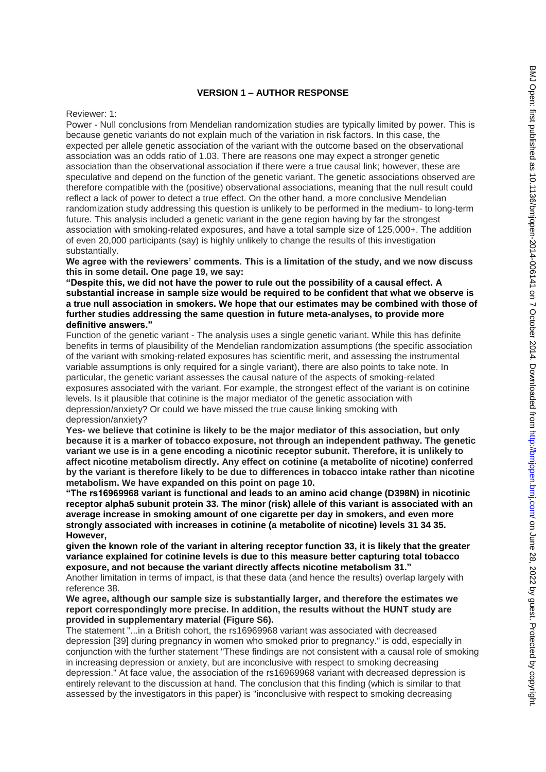### **VERSION 1 – AUTHOR RESPONSE**

#### Reviewer: 1:

Power - Null conclusions from Mendelian randomization studies are typically limited by power. This is because genetic variants do not explain much of the variation in risk factors. In this case, the expected per allele genetic association of the variant with the outcome based on the observational association was an odds ratio of 1.03. There are reasons one may expect a stronger genetic association than the observational association if there were a true causal link; however, these are speculative and depend on the function of the genetic variant. The genetic associations observed are therefore compatible with the (positive) observational associations, meaning that the null result could reflect a lack of power to detect a true effect. On the other hand, a more conclusive Mendelian randomization study addressing this question is unlikely to be performed in the medium- to long-term future. This analysis included a genetic variant in the gene region having by far the strongest association with smoking-related exposures, and have a total sample size of 125,000+. The addition of even 20,000 participants (say) is highly unlikely to change the results of this investigation substantially.

**We agree with the reviewers' comments. This is a limitation of the study, and we now discuss this in some detail. One page 19, we say:** 

**"Despite this, we did not have the power to rule out the possibility of a causal effect. A substantial increase in sample size would be required to be confident that what we observe is a true null association in smokers. We hope that our estimates may be combined with those of further studies addressing the same question in future meta-analyses, to provide more definitive answers."**

Function of the genetic variant - The analysis uses a single genetic variant. While this has definite benefits in terms of plausibility of the Mendelian randomization assumptions (the specific association of the variant with smoking-related exposures has scientific merit, and assessing the instrumental variable assumptions is only required for a single variant), there are also points to take note. In particular, the genetic variant assesses the causal nature of the aspects of smoking-related exposures associated with the variant. For example, the strongest effect of the variant is on cotinine levels. Is it plausible that cotinine is the major mediator of the genetic association with depression/anxiety? Or could we have missed the true cause linking smoking with depression/anxiety?

**Yes- we believe that cotinine is likely to be the major mediator of this association, but only because it is a marker of tobacco exposure, not through an independent pathway. The genetic variant we use is in a gene encoding a nicotinic receptor subunit. Therefore, it is unlikely to affect nicotine metabolism directly. Any effect on cotinine (a metabolite of nicotine) conferred by the variant is therefore likely to be due to differences in tobacco intake rather than nicotine metabolism. We have expanded on this point on page 10.** 

**"The rs16969968 variant is functional and leads to an amino acid change (D398N) in nicotinic receptor alpha5 subunit protein 33. The minor (risk) allele of this variant is associated with an average increase in smoking amount of one cigarette per day in smokers, and even more strongly associated with increases in cotinine (a metabolite of nicotine) levels 31 34 35. However,** 

**given the known role of the variant in altering receptor function 33, it is likely that the greater variance explained for cotinine levels is due to this measure better capturing total tobacco exposure, and not because the variant directly affects nicotine metabolism 31."**

Another limitation in terms of impact, is that these data (and hence the results) overlap largely with reference 38.

**We agree, although our sample size is substantially larger, and therefore the estimates we report correspondingly more precise. In addition, the results without the HUNT study are provided in supplementary material (Figure S6).** 

The statement "...in a British cohort, the rs16969968 variant was associated with decreased depression [39] during pregnancy in women who smoked prior to pregnancy." is odd, especially in conjunction with the further statement "These findings are not consistent with a causal role of smoking in increasing depression or anxiety, but are inconclusive with respect to smoking decreasing depression." At face value, the association of the rs16969968 variant with decreased depression is entirely relevant to the discussion at hand. The conclusion that this finding (which is similar to that assessed by the investigators in this paper) is "inconclusive with respect to smoking decreasing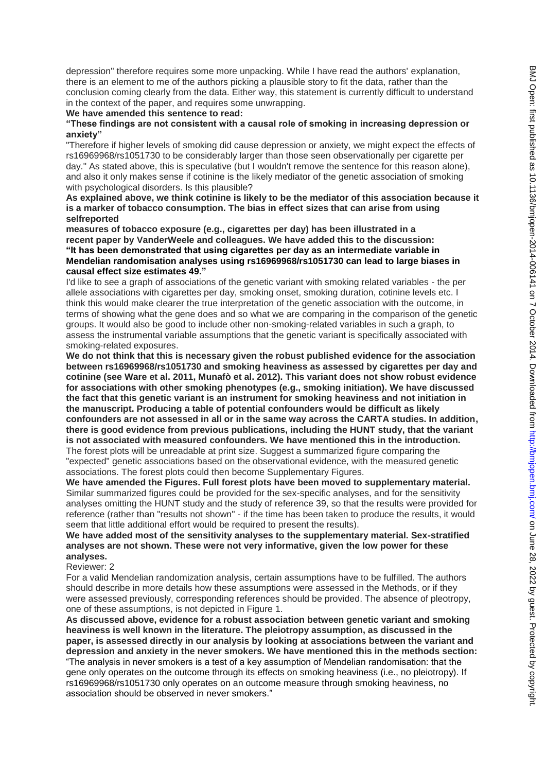depression" therefore requires some more unpacking. While I have read the authors' explanation, there is an element to me of the authors picking a plausible story to fit the data, rather than the conclusion coming clearly from the data. Either way, this statement is currently difficult to understand in the context of the paper, and requires some unwrapping.

#### **We have amended this sentence to read:**

#### **"These findings are not consistent with a causal role of smoking in increasing depression or anxiety"**

"Therefore if higher levels of smoking did cause depression or anxiety, we might expect the effects of rs16969968/rs1051730 to be considerably larger than those seen observationally per cigarette per day." As stated above, this is speculative (but I wouldn't remove the sentence for this reason alone), and also it only makes sense if cotinine is the likely mediator of the genetic association of smoking with psychological disorders. Is this plausible?

**As explained above, we think cotinine is likely to be the mediator of this association because it is a marker of tobacco consumption. The bias in effect sizes that can arise from using selfreported** 

**measures of tobacco exposure (e.g., cigarettes per day) has been illustrated in a recent paper by VanderWeele and colleagues. We have added this to the discussion: "It has been demonstrated that using cigarettes per day as an intermediate variable in Mendelian randomisation analyses using rs16969968/rs1051730 can lead to large biases in causal effect size estimates 49."**

I'd like to see a graph of associations of the genetic variant with smoking related variables - the per allele associations with cigarettes per day, smoking onset, smoking duration, cotinine levels etc. I think this would make clearer the true interpretation of the genetic association with the outcome, in terms of showing what the gene does and so what we are comparing in the comparison of the genetic groups. It would also be good to include other non-smoking-related variables in such a graph, to assess the instrumental variable assumptions that the genetic variant is specifically associated with smoking-related exposures.

**We do not think that this is necessary given the robust published evidence for the association between rs16969968/rs1051730 and smoking heaviness as assessed by cigarettes per day and cotinine (see Ware et al. 2011, Munafò et al. 2012). This variant does not show robust evidence for associations with other smoking phenotypes (e.g., smoking initiation). We have discussed the fact that this genetic variant is an instrument for smoking heaviness and not initiation in the manuscript. Producing a table of potential confounders would be difficult as likely confounders are not assessed in all or in the same way across the CARTA studies. In addition, there is good evidence from previous publications, including the HUNT study, that the variant is not associated with measured confounders. We have mentioned this in the introduction.**  The forest plots will be unreadable at print size. Suggest a summarized figure comparing the "expected" genetic associations based on the observational evidence, with the measured genetic associations. The forest plots could then become Supplementary Figures.

**We have amended the Figures. Full forest plots have been moved to supplementary material.**  Similar summarized figures could be provided for the sex-specific analyses, and for the sensitivity analyses omitting the HUNT study and the study of reference 39, so that the results were provided for reference (rather than "results not shown" - if the time has been taken to produce the results, it would seem that little additional effort would be required to present the results).

**We have added most of the sensitivity analyses to the supplementary material. Sex-stratified analyses are not shown. These were not very informative, given the low power for these analyses.** 

### Reviewer: 2

For a valid Mendelian randomization analysis, certain assumptions have to be fulfilled. The authors should describe in more details how these assumptions were assessed in the Methods, or if they were assessed previously, corresponding references should be provided. The absence of pleotropy, one of these assumptions, is not depicted in Figure 1.

**As discussed above, evidence for a robust association between genetic variant and smoking heaviness is well known in the literature. The pleiotropy assumption, as discussed in the paper, is assessed directly in our analysis by looking at associations between the variant and depression and anxiety in the never smokers. We have mentioned this in the methods section:**  "The analysis in never smokers is a test of a key assumption of Mendelian randomisation: that the gene only operates on the outcome through its effects on smoking heaviness (i.e., no pleiotropy). If rs16969968/rs1051730 only operates on an outcome measure through smoking heaviness, no association should be observed in never smokers."